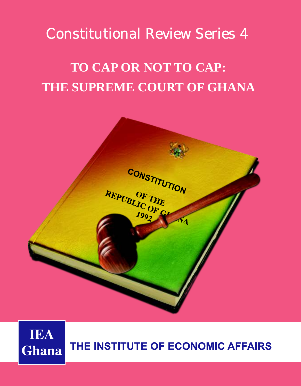## Constitutional Review Series 4

# **TO CAP OR NOT TO CAP: THE SUPREME COURT OF GHANA**



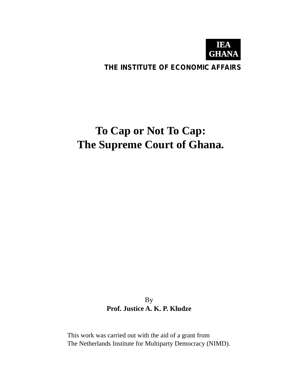

### **THE INSTITUTE OF ECONOMIC AFFAIRS**

## **To Cap or Not To Cap: The Supreme Court of Ghana.**

By **Prof. Justice A. K. P. Kludze**

This work was carried out with the aid of a grant from The Netherlands Institute for Multiparty Democracy (NIMD).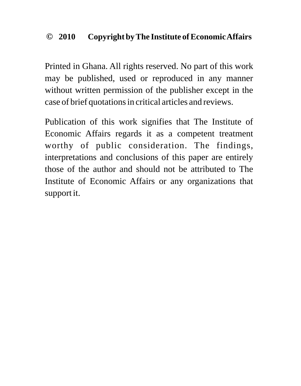#### **2010 Copyright by The Institute of Economic Affairs ©**

Printed in Ghana. All rights reserved. No part of this work may be published, used or reproduced in any manner without written permission of the publisher except in the case of brief quotations in critical articles and reviews.

Publication of this work signifies that The Institute of Economic Affairs regards it as a competent treatment worthy of public consideration. The findings, interpretations and conclusions of this paper are entirely those of the author and should not be attributed to The Institute of Economic Affairs or any organizations that support it.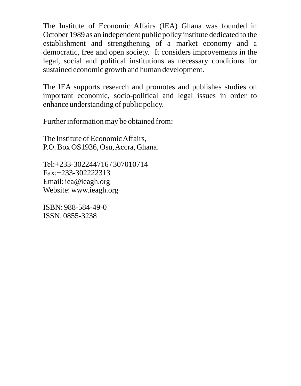The Institute of Economic Affairs (IEA) Ghana was founded in October 1989 as an independent public policy institute dedicated to the establishment and strengthening of a market economy and a democratic, free and open society. It considers improvements in the legal, social and political institutions as necessary conditions for sustained economic growth and human development.

The IEA supports research and promotes and publishes studies on important economic, socio-political and legal issues in order to enhance understanding of public policy.

Further information may be obtained from:

The Institute of Economic Affairs, P.O. Box OS1936, Osu, Accra, Ghana.

Tel:+233-302244716 / 307010714 Fax:+233-302222313 Email: iea@ieagh.org Website: www.ieagh.org

ISBN: 988-584-49-0 ISSN: 0855-3238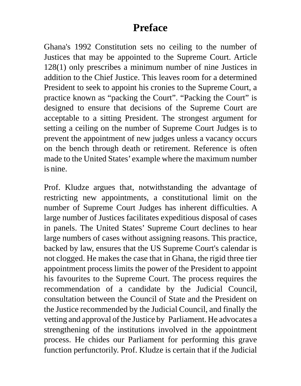### **Preface**

Ghana's 1992 Constitution sets no ceiling to the number of Justices that may be appointed to the Supreme Court. Article 128(1) only prescribes a minimum number of nine Justices in addition to the Chief Justice. This leaves room for a determined President to seek to appoint his cronies to the Supreme Court, a practice known as "packing the Court". "Packing the Court" is designed to ensure that decisions of the Supreme Court are acceptable to a sitting President. The strongest argument for setting a ceiling on the number of Supreme Court Judges is to prevent the appointment of new judges unless a vacancy occurs on the bench through death or retirement. Reference is often made to the United States' example where the maximum number is nine.

Prof. Kludze argues that, notwithstanding the advantage of restricting new appointments, a constitutional limit on the number of Supreme Court Judges has inherent difficulties. A large number of Justices facilitates expeditious disposal of cases in panels. The United States' Supreme Court declines to hear large numbers of cases without assigning reasons. This practice, backed by law, ensures that the US Supreme Court's calendar is not clogged. He makes the case that in Ghana, the rigid three tier appointment process limits the power of the President to appoint his favourites to the Supreme Court. The process requires the recommendation of a candidate by the Judicial Council, consultation between the Council of State and the President on the Justice recommended by the Judicial Council, and finally the vetting and approval of the Justice by Parliament. He advocates a strengthening of the institutions involved in the appointment process. He chides our Parliament for performing this grave function perfunctorily. Prof. Kludze is certain that if the Judicial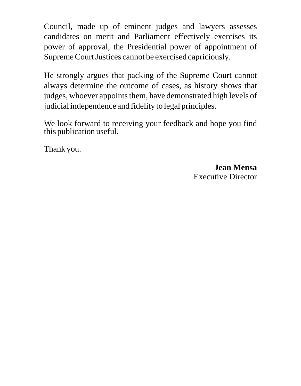Council, made up of eminent judges and lawyers assesses candidates on merit and Parliament effectively exercises its power of approval, the Presidential power of appointment of Supreme Court Justices cannot be exercised capriciously.

He strongly argues that packing of the Supreme Court cannot always determine the outcome of cases, as history shows that judges, whoever appoints them, have demonstrated high levels of judicial independence and fidelity to legal principles.

We look forward to receiving your feedback and hope you find this publication useful.

Thank you.

**Jean Mensa** Executive Director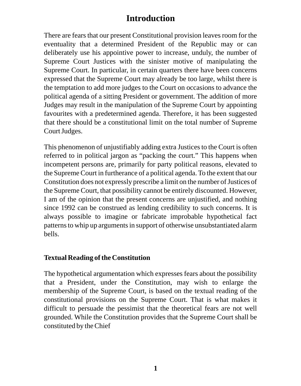### **Introduction**

There are fears that our present Constitutional provision leaves room for the eventuality that a determined President of the Republic may or can deliberately use his appointive power to increase, unduly, the number of Supreme Court Justices with the sinister motive of manipulating the Supreme Court. In particular, in certain quarters there have been concerns expressed that the Supreme Court may already be too large, whilst there is the temptation to add more judges to the Court on occasions to advance the political agenda of a sitting President or government. The addition of more Judges may result in the manipulation of the Supreme Court by appointing favourites with a predetermined agenda. Therefore, it has been suggested that there should be a constitutional limit on the total number of Supreme Court Judges.

This phenomenon of unjustifiably adding extra Justices to the Court is often referred to in political jargon as "packing the court." This happens when incompetent persons are, primarily for party political reasons, elevated to the Supreme Court in furtherance of a political agenda. To the extent that our Constitution does not expressly prescribe a limit on the number of Justices of the Supreme Court, that possibility cannot be entirely discounted. However, I am of the opinion that the present concerns are unjustified, and nothing since 1992 can be construed as lending credibility to such concerns. It is always possible to imagine or fabricate improbable hypothetical fact patterns to whip up arguments in support of otherwise unsubstantiated alarm bells.

#### **Textual Reading of the Constitution**

The hypothetical argumentation which expresses fears about the possibility that a President, under the Constitution, may wish to enlarge the membership of the Supreme Court, is based on the textual reading of the constitutional provisions on the Supreme Court. That is what makes it difficult to persuade the pessimist that the theoretical fears are not well grounded. While the Constitution provides that the Supreme Court shall be constituted by the Chief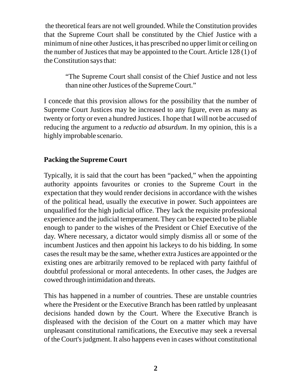the theoretical fears are not well grounded. While the Constitution provides that the Supreme Court shall be constituted by the Chief Justice with a minimum of nine other Justices, it has prescribed no upper limit or ceiling on the number of Justices that may be appointed to the Court. Article 128 (1) of the Constitution says that:

"The Supreme Court shall consist of the Chief Justice and not less than nine other Justices of the Supreme Court."

I concede that this provision allows for the possibility that the number of Supreme Court Justices may be increased to any figure, even as many as twenty or forty or even a hundred Justices. I hope that I will not be accused of reducing the argument to a *reductio ad absurdum*. In my opinion, this is a highly improbable scenario.

#### **Packing the Supreme Court**

Typically, it is said that the court has been "packed," when the appointing authority appoints favourites or cronies to the Supreme Court in the expectation that they would render decisions in accordance with the wishes of the political head, usually the executive in power. Such appointees are unqualified for the high judicial office. They lack the requisite professional experience and the judicial temperament. They can be expected to be pliable enough to pander to the wishes of the President or Chief Executive of the day. Where necessary, a dictator would simply dismiss all or some of the incumbent Justices and then appoint his lackeys to do his bidding. In some cases the result may be the same, whether extra Justices are appointed or the existing ones are arbitrarily removed to be replaced with party faithful of doubtful professional or moral antecedents. In other cases, the Judges are cowed through intimidation and threats.

This has happened in a number of countries. These are unstable countries where the President or the Executive Branch has been rattled by unpleasant decisions handed down by the Court. Where the Executive Branch is displeased with the decision of the Court on a matter which may have unpleasant constitutional ramifications, the Executive may seek a reversal of the Court's judgment. It also happens even in cases without constitutional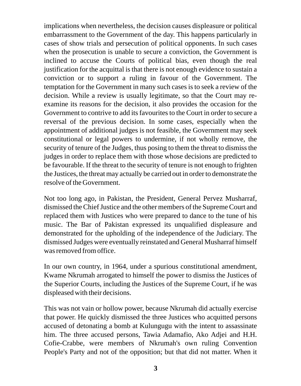implications when nevertheless, the decision causes displeasure or political embarrassment to the Government of the day. This happens particularly in cases of show trials and persecution of political opponents. In such cases when the prosecution is unable to secure a conviction, the Government is inclined to accuse the Courts of political bias, even though the real justification for the acquittal is that there is not enough evidence to sustain a conviction or to support a ruling in favour of the Government. The temptation for the Government in many such cases is to seek a review of the decision. While a review is usually legitimate, so that the Court may reexamine its reasons for the decision, it also provides the occasion for the Government to contrive to add its favourites to the Court in order to secure a reversal of the previous decision. In some cases, especially when the appointment of additional judges is not feasible, the Government may seek constitutional or legal powers to undermine, if not wholly remove, the security of tenure of the Judges, thus posing to them the threat to dismiss the judges in order to replace them with those whose decisions are predicted to be favourable. If the threat to the security of tenure is not enough to frighten the Justices, the threat may actually be carried out in order to demonstrate the resolve of the Government.

Not too long ago, in Pakistan, the President, General Pervez Musharraf, dismissed the Chief Justice and the other members of the Supreme Court and replaced them with Justices who were prepared to dance to the tune of his music. The Bar of Pakistan expressed its unqualified displeasure and demonstrated for the upholding of the independence of the Judiciary. The dismissed Judges were eventually reinstated and General Musharraf himself was removed from office.

In our own country, in 1964, under a spurious constitutional amendment, Kwame Nkrumah arrogated to himself the power to dismiss the Justices of the Superior Courts, including the Justices of the Supreme Court, if he was displeased with their decisions.

This was not vain or hollow power, because Nkrumah did actually exercise that power. He quickly dismissed the three Justices who acquitted persons accused of detonating a bomb at Kulungugu with the intent to assassinate him. The three accused persons, Tawia Adamafio, Ako Adjei and H.H. Cofie-Crabbe, were members of Nkrumah's own ruling Convention People's Party and not of the opposition; but that did not matter. When it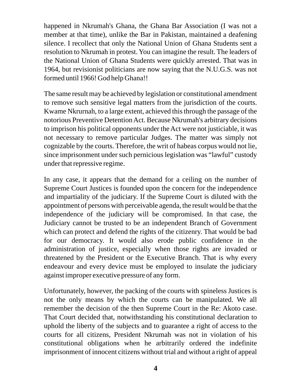happened in Nkrumah's Ghana, the Ghana Bar Association (I was not a member at that time), unlike the Bar in Pakistan, maintained a deafening silence. I recollect that only the National Union of Ghana Students sent a resolution to Nkrumah in protest. You can imagine the result. The leaders of the National Union of Ghana Students were quickly arrested. That was in 1964, but revisionist politicians are now saying that the N.U.G.S. was not formed until 1966! God help Ghana!!

The same result may be achieved by legislation or constitutional amendment to remove such sensitive legal matters from the jurisdiction of the courts. Kwame Nkrurnah, to a large extent, achieved this through the passage of the notorious Preventive Detention Act. Because Nkrumah's arbitrary decisions to imprison his political opponents under the Act were not justiciable, it was not necessary to remove particular Judges. The matter was simply not cognizable by the courts. Therefore, the writ of habeas corpus would not lie, since imprisonment under such pernicious legislation was "lawful" custody under that repressive regime.

In any case, it appears that the demand for a ceiling on the number of Supreme Court Justices is founded upon the concern for the independence and impartiality of the judiciary. If the Supreme Court is diluted with the appointment of persons with perceivable agenda, the result would be that the independence of the judiciary will be compromised. In that case, the Judiciary cannot be trusted to be an independent Branch of Government which can protect and defend the rights of the citizenry. That would be bad for our democracy. It would also erode public confidence in the administration of justice, especially when those rights are invaded or threatened by the President or the Executive Branch. That is why every endeavour and every device must be employed to insulate the judiciary against improper executive pressure of any form.

Unfortunately, however, the packing of the courts with spineless Justices is not the only means by which the courts can be manipulated. We all remember the decision of the then Supreme Court in the Re: Akoto case. That Court decided that, notwithstanding his constitutional declaration to uphold the liberty of the subjects and to guarantee a right of access to the courts for all citizens, President Nkrumah was not in violation of his constitutional obligations when he arbitrarily ordered the indefinite imprisonment of innocent citizens without trial and without a right of appeal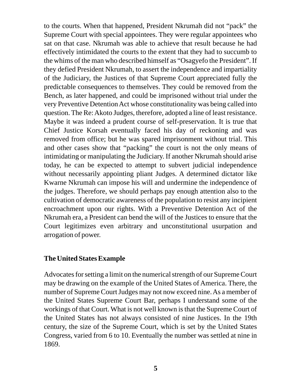to the courts. When that happened, President Nkrumah did not "pack" the Supreme Court with special appointees. They were regular appointees who sat on that case. Nkrumah was able to achieve that result because he had effectively intimidated the courts to the extent that they had to succumb to the whims of the man who described himself as "Osagyefo the President". If they defied President Nkrumah, to assert the independence and impartiality of the Judiciary, the Justices of that Supreme Court appreciated fully the predictable consequences to themselves. They could be removed from the Bench, as later happened, and could be imprisoned without trial under the very Preventive Detention Act whose constitutionality was being called into question. The Re: Akoto Judges, therefore, adopted a line of least resistance. Maybe it was indeed a prudent course of self-preservation. It is true that Chief Justice Korsah eventually faced his day of reckoning and was removed from office; but he was spared imprisonment without trial. This and other cases show that "packing" the court is not the only means of intimidating or manipulating the Judiciary. If another Nkrumah should arise today, he can be expected to attempt to subvert judicial independence without necessarily appointing pliant Judges. A determined dictator like Kwarne Nkrumah can impose his will and undermine the independence of the judges. Therefore, we should perhaps pay enough attention also to the cultivation of democratic awareness of the population to resist any incipient encroachment upon our rights. With a Preventive Detention Act of the Nkrumah era, a President can bend the will of the Justices to ensure that the Court legitimizes even arbitrary and unconstitutional usurpation and arrogation of power.

#### **The United States Example**

Advocates for setting a limit on the numerical strength of our Supreme Court may be drawing on the example of the United States of America. There, the number of Supreme Court Judges may not now exceed nine. As a member of the United States Supreme Court Bar, perhaps I understand some of the workings of that Court. What is not well known is that the Supreme Court of the United States has not always consisted of nine Justices. In the 19th century, the size of the Supreme Court, which is set by the United States Congress, varied from 6 to 10. Eventually the number was settled at nine in 1869.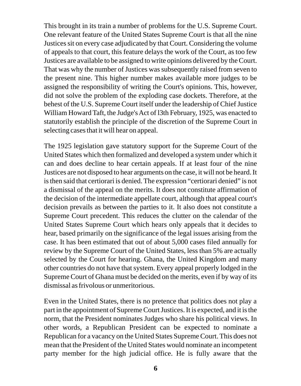This brought in its train a number of problems for the U.S. Supreme Court. One relevant feature of the United States Supreme Court is that all the nine Justices sit on every case adjudicated by that Court. Considering the volume of appeals to that court, this feature delays the work of the Court, as too few Justices are available to be assigned to write opinions delivered by the Court. That was why the number of Justices was subsequently raised from seven to the present nine. This higher number makes available more judges to be assigned the responsibility of writing the Court's opinions. This, however, did not solve the problem of the exploding case dockets. Therefore, at the behest of the U.S. Supreme Court itself under the leadership of Chief Justice William Howard Taft, the Judge's Act of l3th February, 1925, was enacted to statutorily establish the principle of the discretion of the Supreme Court in selecting cases that it will hear on appeal.

The 1925 legislation gave statutory support for the Supreme Court of the United States which then formalized and developed a system under which it can and does decline to hear certain appeals. If at least four of the nine Justices are not disposed to hear arguments on the case, it will not be heard. It is then said that certiorari is denied. The expression "certiorari denied" is not a dismissal of the appeal on the merits. It does not constitute affirmation of the decision of the intermediate appellate court, although that appeal court's decision prevails as between the parties to it. It also does not constitute a Supreme Court precedent. This reduces the clutter on the calendar of the United States Supreme Court which hears only appeals that it decides to hear, based primarily on the significance of the legal issues arising from the case. It has been estimated that out of about 5,000 cases filed annually for review by the Supreme Court of the United States, less than 5% are actually selected by the Court for hearing. Ghana, the United Kingdom and many other countries do not have that system. Every appeal properly lodged in the Supreme Court of Ghana must be decided on the merits, even if by way of its dismissal as frivolous or unmeritorious.

Even in the United States, there is no pretence that politics does not play a part in the appointment of Supreme Court Justices. It is expected, and it is the norm, that the President nominates Judges who share his political views. In other words, a Republican President can be expected to nominate a Republican for a vacancy on the United States Supreme Court. This does not mean that the President of the United States would nominate an incompetent party member for the high judicial office. He is fully aware that the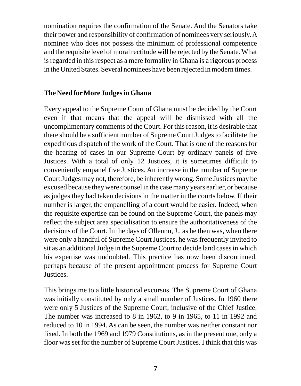nomination requires the confirmation of the Senate. And the Senators take their power and responsibility of confirmation of nominees very seriously. A nominee who does not possess the minimum of professional competence and the requisite level of moral rectitude will be rejected by the Senate. What is regarded in this respect as a mere formality in Ghana is a rigorous process in the United States. Several nominees have been rejected in modern times.

#### **The Need forMore Judges in Ghana**

Every appeal to the Supreme Court of Ghana must be decided by the Court even if that means that the appeal will be dismissed with all the uncomplimentary comments of the Court. For this reason, it is desirable that there should be a sufficient number of Supreme Court Judges to facilitate the expeditious dispatch of the work of the Court. That is one of the reasons for the hearing of cases in our Supreme Court by ordinary panels of five Justices. With a total of only 12 Justices, it is sometimes difficult to conveniently empanel five Justices. An increase in the number of Supreme Court Judges may not, therefore, be inherently wrong. Some Justices may be excused because they were counsel in the case many years earlier, or because as judges they had taken decisions in the matter in the courts below. If their number is larger, the empanelling of a court would be easier. Indeed, when the requisite expertise can be found on the Supreme Court, the panels may reflect the subject area specialisation to ensure the authoritativeness of the decisions of the Court. In the days of Ollennu, J., as he then was, when there were only a handful of Supreme Court Justices, he was frequently invited to sit as an additional Judge in the Supreme Court to decide land cases in which his expertise was undoubted. This practice has now been discontinued, perhaps because of the present appointment process for Supreme Court Justices.

This brings me to a little historical excursus. The Supreme Court of Ghana was initially constituted by only a small number of Justices. In 1960 there were only 5 Justices of the Supreme Court, inclusive of the Chief Justice. The number was increased to 8 in 1962, to 9 in 1965, to 11 in 1992 and reduced to 10 in 1994. As can be seen, the number was neither constant nor fixed. In both the 1969 and 1979 Constitutions, as in the present one, only a floor was set for the number of Supreme Court Justices. I think that this was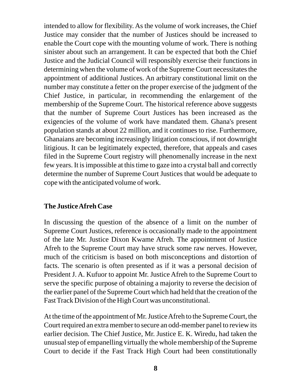intended to allow for flexibility. As the volume of work increases, the Chief Justice may consider that the number of Justices should be increased to enable the Court cope with the mounting volume of work. There is nothing sinister about such an arrangement. It can be expected that both the Chief Justice and the Judicial Council will responsibly exercise their functions in determining when the volume of work of the Supreme Court necessitates the appointment of additional Justices. An arbitrary constitutional limit on the number may constitute a fetter on the proper exercise of the judgment of the Chief Justice, in particular, in recommending the enlargement of the membership of the Supreme Court. The historical reference above suggests that the number of Supreme Court Justices has been increased as the exigencies of the volume of work have mandated them. Ghana's present population stands at about 22 million, and it continues to rise. Furthermore, Ghanaians are becoming increasingly litigation conscious, if not downright litigious. It can be legitimately expected, therefore, that appeals and cases filed in the Supreme Court registry will phenomenally increase in the next few years. It is impossible at this time to gaze into a crystal ball and correctly determine the number of Supreme Court Justices that would be adequate to cope with the anticipated volume of work.

#### **The Justice Afreh Case**

In discussing the question of the absence of a limit on the number of Supreme Court Justices, reference is occasionally made to the appointment of the late Mr. Justice Dixon Kwame Afreh. The appointment of Justice Afreh to the Supreme Court may have struck some raw nerves. However, much of the criticism is based on both misconceptions and distortion of facts. The scenario is often presented as if it was a personal decision of President J. A. Kufuor to appoint Mr. Justice Afreh to the Supreme Court to serve the specific purpose of obtaining a majority to reverse the decision of the earlier panel of the Supreme Court which had held that the creation of the Fast Track Division of the High Court was unconstitutional.

At the time of the appointment of Mr. Justice Afreh to the Supreme Court, the Court required an extra member to secure an odd-member panel to review its earlier decision. The Chief Justice, Mr. Justice E. K. Wiredu, had taken the unusual step of empanelling virtually the whole membership of the Supreme Court to decide if the Fast Track High Court had been constitutionally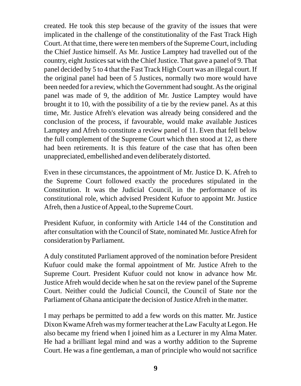created. He took this step because of the gravity of the issues that were implicated in the challenge of the constitutionality of the Fast Track High Court. At that time, there were ten members of the Supreme Court, including the Chief Justice himself. As Mr. Justice Lamptey had travelled out of the country, eight Justices sat with the Chief Justice. That gave a panel of 9. That panel decided by 5 to 4 that the Fast Track High Court was an illegal court. If the original panel had been of 5 Justices, normally two more would have been needed for a review, which the Government had sought. As the original panel was made of 9, the addition of Mr. Justice Lamptey would have brought it to 10, with the possibility of a tie by the review panel. As at this time, Mr. Justice Afreh's elevation was already being considered and the conclusion of the process, if favourable, would make available Justices Lamptey and Afreh to constitute a review panel of 11. Even that fell below the full complement of the Supreme Court which then stood at 12, as there had been retirements. It is this feature of the case that has often been unappreciated, embellished and even deliberately distorted.

Even in these circumstances, the appointment of Mr. Justice D. K. Afreh to the Supreme Court followed exactly the procedures stipulated in the Constitution. It was the Judicial Council, in the performance of its constitutional role, which advised President Kufuor to appoint Mr. Justice Afreh, then a Justice of Appeal, to the Supreme Court.

President Kufuor, in conformity with Article 144 of the Constitution and after consultation with the Council of State, nominated Mr. Justice Afreh for consideration by Parliament.

A duly constituted Parliament approved of the nomination before President Kufuor could make the formal appointment of Mr. Justice Afreh to the Supreme Court. President Kufuor could not know in advance how Mr. Justice Afreh would decide when he sat on the review panel of the Supreme Court. Neither could the Judicial Council, the Council of State nor the Parliament of Ghana anticipate the decision of Justice Afreh in the matter.

I may perhaps be permitted to add a few words on this matter. Mr. Justice Dixon Kwame Afreh was my former teacher at the Law Faculty at Legon. He also became my friend when I joined him as a Lecturer in my Alma Mater. He had a brilliant legal mind and was a worthy addition to the Supreme Court. He was a fine gentleman, a man of principle who would not sacrifice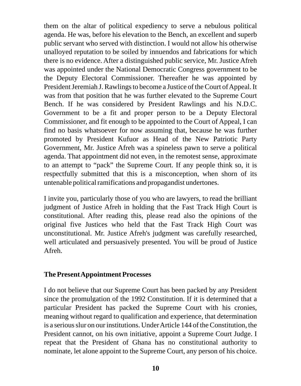them on the altar of political expediency to serve a nebulous political agenda. He was, before his elevation to the Bench, an excellent and superb public servant who served with distinction. I would not allow his otherwise unalloyed reputation to be soiled by innuendos and fabrications for which there is no evidence. After a distinguished public service, Mr. Justice Afreh was appointed under the National Democratic Congress government to be the Deputy Electoral Commissioner. Thereafter he was appointed by President Jeremiah J. Rawlings to become a Justice of the Court of Appeal. It was from that position that he was further elevated to the Supreme Court Bench. If he was considered by President Rawlings and his N.D.C. Government to be a fit and proper person to be a Deputy Electoral Commissioner, and fit enough to be appointed to the Court of Appeal, I can find no basis whatsoever for now assuming that, because he was further promoted by President Kufuor as Head of the New Patriotic Party Government, Mr. Justice Afreh was a spineless pawn to serve a political agenda. That appointment did not even, in the remotest sense, approximate to an attempt to "pack" the Supreme Court. If any people think so, it is respectfully submitted that this is a misconception, when shorn of its untenable political ramifications and propagandist undertones.

I invite you, particularly those of you who are lawyers, to read the brilliant judgment of Justice Afreh in holding that the Fast Track High Court is constitutional. After reading this, please read also the opinions of the original five Justices who held that the Fast Track High Court was unconstitutional. Mr. Justice Afreh's judgment was carefully researched, well articulated and persuasively presented. You will be proud of Justice Afreh.

#### **The Present Appointment Processes**

I do not believe that our Supreme Court has been packed by any President since the promulgation of the 1992 Constitution. If it is determined that a particular President has packed the Supreme Court with his cronies, meaning without regard to qualification and experience, that determination is a serious slur on our institutions. Under Article 144 of the Constitution, the President cannot, on his own initiative, appoint a Supreme Court Judge. I repeat that the President of Ghana has no constitutional authority to nominate, let alone appoint to the Supreme Court, any person of his choice.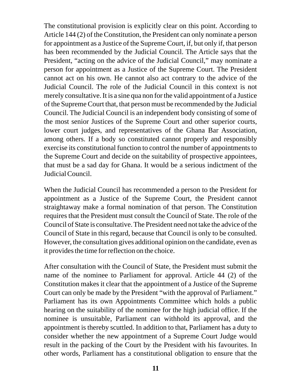The constitutional provision is explicitly clear on this point. According to Article 144 (2) of the Constitution, the President can only nominate a person for appointment as a Justice of the Supreme Court, if, but only if, that person has been recommended by the Judicial Council. The Article says that the President, "acting on the advice of the Judicial Council," may nominate a person for appointment as a Justice of the Supreme Court. The President cannot act on his own. He cannot also act contrary to the advice of the Judicial Council. The role of the Judicial Council in this context is not merely consultative. It is a sine qua non for the valid appointment of a Justice of the Supreme Court that, that person must be recommended by the Judicial Council. The Judicial Council is an independent body consisting of some of the most senior Justices of the Supreme Court and other superior courts, lower court judges, and representatives of the Ghana Bar Association, among others. If a body so constituted cannot properly and responsibly exercise its constitutional function to control the number of appointments to the Supreme Court and decide on the suitability of prospective appointees, that must be a sad day for Ghana. It would be a serious indictment of the Judicial Council.

When the Judicial Council has recommended a person to the President for appointment as a Justice of the Supreme Court, the President cannot straightaway make a formal nomination of that person. The Constitution requires that the President must consult the Council of State. The role of the Council of State is consultative. The President need not take the advice of the Council of State in this regard, because that Council is only to be consulted. However, the consultation gives additional opinion on the candidate, even as it provides the time for reflection on the choice.

After consultation with the Council of State, the President must submit the name of the nominee to Parliament for approval. Article 44 (2) of the Constitution makes it clear that the appointment of a Justice of the Supreme Court can only be made by the President "with the approval of Parliament." Parliament has its own Appointments Committee which holds a public hearing on the suitability of the nominee for the high judicial office. If the nominee is unsuitable, Parliament can withhold its approval, and the appointment is thereby scuttled. In addition to that, Parliament has a duty to consider whether the new appointment of a Supreme Court Judge would result in the packing of the Court by the President with his favourites. In other words, Parliament has a constitutional obligation to ensure that the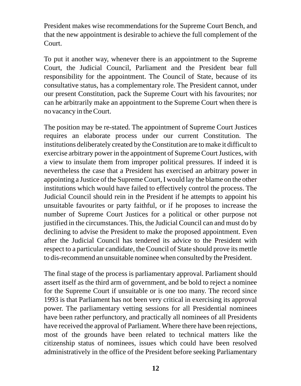President makes wise recommendations for the Supreme Court Bench, and that the new appointment is desirable to achieve the full complement of the Court.

To put it another way, whenever there is an appointment to the Supreme Court, the Judicial Council, Parliament and the President bear full responsibility for the appointment. The Council of State, because of its consultative status, has a complementary role. The President cannot, under our present Constitution, pack the Supreme Court with his favourites; nor can he arbitrarily make an appointment to the Supreme Court when there is no vacancy in the Court.

The position may be re-stated. The appointment of Supreme Court Justices requires an elaborate process under our current Constitution. The institutions deliberately created by the Constitution are to make it difficult to exercise arbitrary power in the appointment of Supreme Court Justices, with a view to insulate them from improper political pressures. If indeed it is nevertheless the case that a President has exercised an arbitrary power in appointing a Justice of the Supreme Court, I would lay the blame on the other institutions which would have failed to effectively control the process. The Judicial Council should rein in the President if he attempts to appoint his unsuitable favourites or party faithful, or if he proposes to increase the number of Supreme Court Justices for a political or other purpose not justified in the circumstances. This, the Judicial Council can and must do by declining to advise the President to make the proposed appointment. Even after the Judicial Council has tendered its advice to the President with respect to a particular candidate, the Council of State should prove its mettle to dis-recommend an unsuitable nominee when consulted by the President.

The final stage of the process is parliamentary approval. Parliament should assert itself as the third arm of government, and be bold to reject a nominee for the Supreme Court if unsuitable or is one too many. The record since 1993 is that Parliament has not been very critical in exercising its approval power. The parliamentary vetting sessions for all Presidential nominees have been rather perfunctory, and practically all nominees of all Presidents have received the approval of Parliament. Where there have been rejections, most of the grounds have been related to technical matters like the citizenship status of nominees, issues which could have been resolved administratively in the office of the President before seeking Parliamentary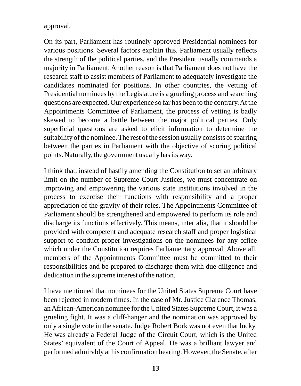approval.

On its part, Parliament has routinely approved Presidential nominees for various positions. Several factors explain this. Parliament usually reflects the strength of the political parties, and the President usually commands a majority in Parliament. Another reason is that Parliament does not have the research staff to assist members of Parliament to adequately investigate the candidates nominated for positions. In other countries, the vetting of Presidential nominees by the Legislature is a grueling process and searching questions are expected. Our experience so far has been to the contrary. At the Appointments Committee of Parliament, the process of vetting is badly skewed to become a battle between the major political parties. Only superficial questions are asked to elicit information to determine the suitability of the nominee. The rest of the session usually consists of sparring between the parties in Parliament with the objective of scoring political points. Naturally, the government usually has its way.

I think that, instead of hastily amending the Constitution to set an arbitrary limit on the number of Supreme Court Justices, we must concentrate on improving and empowering the various state institutions involved in the process to exercise their functions with responsibility and a proper appreciation of the gravity of their roles. The Appointments Committee of Parliament should be strengthened and empowered to perform its role and discharge its functions effectively. This means, inter alia, that it should be provided with competent and adequate research staff and proper logistical support to conduct proper investigations on the nominees for any office which under the Constitution requires Parliamentary approval. Above all, members of the Appointments Committee must be committed to their responsibilities and be prepared to discharge them with due diligence and dedication in the supreme interest of the nation.

I have mentioned that nominees for the United States Supreme Court have been rejected in modern times. In the case of Mr. Justice Clarence Thomas, an African-American nominee for the United States Supreme Court, it was a grueling fight. It was a cliff-hanger and the nomination was approved by only a single vote in the senate. Judge Robert Bork was not even that lucky. He was already a Federal Judge of the Circuit Court, which is the United States' equivalent of the Court of Appeal. He was a brilliant lawyer and performed admirably at his confirmation hearing. However, the Senate, after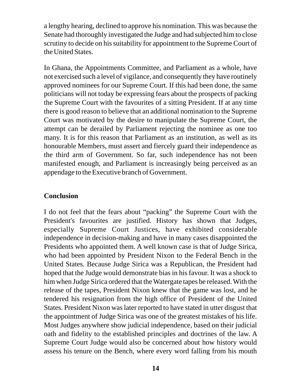a lengthy hearing, declined to approve his nomination. This was because the Senate had thoroughly investigated the Judge and had subjected him to close scrutiny to decide on his suitability for appointment to the Supreme Court of the United States.

In Ghana, the Appointments Committee, and Parliament as a whole, have not exercised such a level of vigilance, and consequently they have routinely approved nominees for our Supreme Court. If this had been done, the same politicians will not today be expressing fears about the prospects of packing the Supreme Court with the favourites of a sitting President. If at any time there is good reason to believe that an additional nomination to the Supreme Court was motivated by the desire to manipulate the Supreme Court, the attempt can be derailed by Parliament rejecting the nominee as one too many. It is for this reason that Parliament as an institution, as well as its honourable Members, must assert and fiercely guard their independence as the third arm of Government. So far, such independence has not been manifested enough, and Parliament is increasingly being perceived as an appendage to the Executive branch of Government.

#### **Conclusion**

I do not feel that the fears about "packing" the Supreme Court with the President's favourites are justified. History has shown that Judges, especially Supreme Court Justices, have exhibited considerable independence in decision-making and have in many cases disappointed the Presidents who appointed them. A well known case is that of Judge Sirica, who had been appointed by President Nixon to the Federal Bench in the United States. Because Judge Sirica was a Republican, the President had hoped that the Judge would demonstrate bias in his favour. It was a shock to him when Judge Sirica ordered that the Watergate tapes be released. With the release of the tapes, President Nixon knew that the game was lost, and he tendered his resignation from the high office of President of the United States. President Nixon was later reported to have stated in utter disgust that the appointment of Judge Sirica was one of the greatest mistakes of his life. Most Judges anywhere show judicial independence, based on their judicial oath and fidelity to the established principles and doctrines of the law. A Supreme Court Judge would also be concerned about how history would assess his tenure on the Bench, where every word falling from his mouth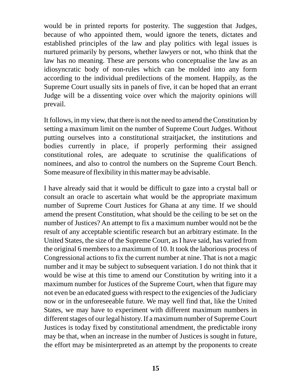would be in printed reports for posterity. The suggestion that Judges, because of who appointed them, would ignore the tenets, dictates and established principles of the law and play politics with legal issues is nurtured primarily by persons, whether lawyers or not, who think that the law has no meaning. These are persons who conceptualise the law as an idiosyncratic body of non-rules which can be molded into any form according to the individual predilections of the moment. Happily, as the Supreme Court usually sits in panels of five, it can be hoped that an errant Judge will be a dissenting voice over which the majority opinions will prevail.

It follows, in my view, that there is not the need to amend the Constitution by setting a maximum limit on the number of Supreme Court Judges. Without putting ourselves into a constitutional straitjacket, the institutions and bodies currently in place, if properly performing their assigned constitutional roles, are adequate to scrutinise the qualifications of nominees, and also to control the numbers on the Supreme Court Bench. Some measure of flexibility in this matter may be advisable.

I have already said that it would be difficult to gaze into a crystal ball or consult an oracle to ascertain what would be the appropriate maximum number of Supreme Court Justices for Ghana at any time. If we should amend the present Constitution, what should be the ceiling to be set on the number of Justices? An attempt to fix a maximum number would not be the result of any acceptable scientific research but an arbitrary estimate. In the United States, the size of the Supreme Court, as I have said, has varied from the original 6 members to a maximum of 10. It took the laborious process of Congressional actions to fix the current number at nine. That is not a magic number and it may be subject to subsequent variation. I do not think that it would be wise at this time to amend our Constitution by writing into it a maximum number for Justices of the Supreme Court, when that figure may not even be an educated guess with respect to the exigencies of the Judiciary now or in the unforeseeable future. We may well find that, like the United States, we may have to experiment with different maximum numbers in different stages of our legal history. If a maximum number of Supreme Court Justices is today fixed by constitutional amendment, the predictable irony may be that, when an increase in the number of Justices is sought in future, the effort may be misinterpreted as an attempt by the proponents to create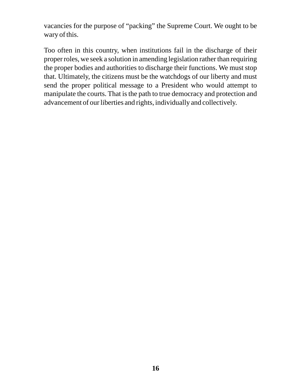vacancies for the purpose of "packing" the Supreme Court. We ought to be wary of this.

Too often in this country, when institutions fail in the discharge of their proper roles, we seek a solution in amending legislation rather than requiring the proper bodies and authorities to discharge their functions. We must stop that. Ultimately, the citizens must be the watchdogs of our liberty and must send the proper political message to a President who would attempt to manipulate the courts. That is the path to true democracy and protection and advancement of our liberties and rights, individually and collectively.